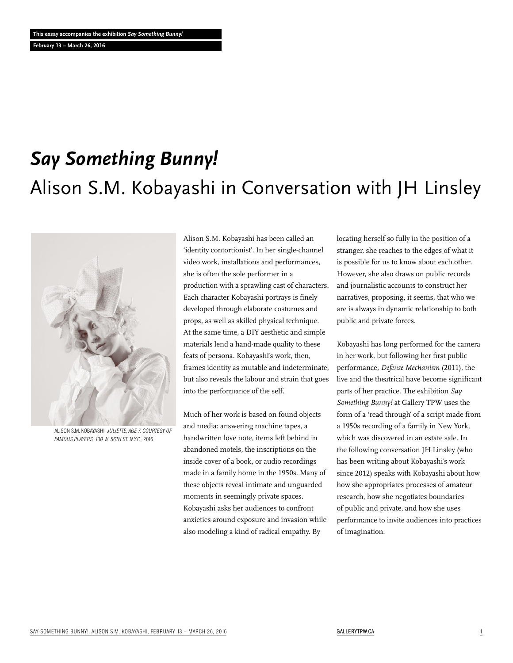**February 13 – March 26, 2016**

# *Say Something Bunny!* Alison S.M. Kobayashi in Conversation with JH Linsley



Alison S.M. Kobayashi, *Juliette, age 7. Courtesy of Famous Players, 130 W. 56th St. N.Y.C.,* 2016

Alison S.M. Kobayashi has been called an 'identity contortionist'. In her single-channel video work, installations and performances, she is often the sole performer in a production with a sprawling cast of characters. Each character Kobayashi portrays is finely developed through elaborate costumes and props, as well as skilled physical technique. At the same time, a DIY aesthetic and simple materials lend a hand-made quality to these feats of persona. Kobayashi's work, then, frames identity as mutable and indeterminate, but also reveals the labour and strain that goes into the performance of the self.

Much of her work is based on found objects and media: answering machine tapes, a handwritten love note, items left behind in abandoned motels, the inscriptions on the inside cover of a book, or audio recordings made in a family home in the 1950s. Many of these objects reveal intimate and unguarded moments in seemingly private spaces. Kobayashi asks her audiences to confront anxieties around exposure and invasion while also modeling a kind of radical empathy. By

locating herself so fully in the position of a stranger, she reaches to the edges of what it is possible for us to know about each other. However, she also draws on public records and journalistic accounts to construct her narratives, proposing, it seems, that who we are is always in dynamic relationship to both public and private forces.

Kobayashi has long performed for the camera in her work, but following her first public performance, *Defense Mechanism* (2011), the live and the theatrical have become significant parts of her practice. The exhibition *Say Something Bunny!* at Gallery TPW uses the form of a 'read through' of a script made from a 1950s recording of a family in New York, which was discovered in an estate sale. In the following conversation JH Linsley (who has been writing about Kobayashi's work since 2012) speaks with Kobayashi about how how she appropriates processes of amateur research, how she negotiates boundaries of public and private, and how she uses performance to invite audiences into practices of imagination.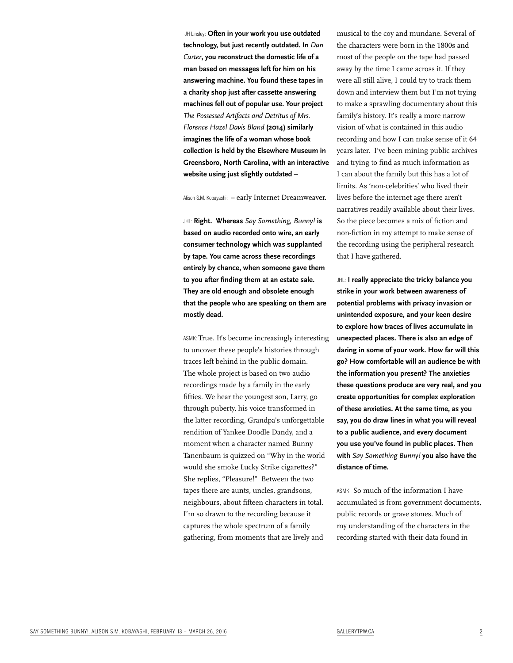JH Linsley: **Often in your work you use outdated technology, but just recently outdated. In** *Dan Carter***, you reconstruct the domestic life of a man based on messages left for him on his answering machine. You found these tapes in a charity shop just after cassette answering machines fell out of popular use. Your project**  *The Possessed Artifacts and Detritus of Mrs. Florence Hazel Davis Bland* **(2014) similarly imagines the life of a woman whose book collection is held by the Elsewhere Museum in Greensboro, North Carolina, with an interactive website using just slightly outdated –**

Alison S.M. Kobayashi: - early Internet Dreamweaver.

JHL: **Right. Whereas** *Say Something, Bunny!* **is based on audio recorded onto wire, an early consumer technology which was supplanted by tape. You came across these recordings entirely by chance, when someone gave them to you after finding them at an estate sale. They are old enough and obsolete enough that the people who are speaking on them are mostly dead.**

ASMK: True. It's become increasingly interesting to uncover these people's histories through traces left behind in the public domain. The whole project is based on two audio recordings made by a family in the early fifties. We hear the youngest son, Larry, go through puberty, his voice transformed in the latter recording, Grandpa's unforgettable rendition of Yankee Doodle Dandy, and a moment when a character named Bunny Tanenbaum is quizzed on "Why in the world would she smoke Lucky Strike cigarettes?" She replies, "Pleasure!" Between the two tapes there are aunts, uncles, grandsons, neighbours, about fifteen characters in total. I'm so drawn to the recording because it captures the whole spectrum of a family gathering, from moments that are lively and

musical to the coy and mundane. Several of the characters were born in the 1800s and most of the people on the tape had passed away by the time I came across it. If they were all still alive, I could try to track them down and interview them but I'm not trying to make a sprawling documentary about this family's history. It's really a more narrow vision of what is contained in this audio recording and how I can make sense of it 64 years later. I've been mining public archives and trying to find as much information as I can about the family but this has a lot of limits. As 'non-celebrities' who lived their lives before the internet age there aren't narratives readily available about their lives. So the piece becomes a mix of fiction and non-fiction in my attempt to make sense of the recording using the peripheral research that I have gathered.

JHL: **I really appreciate the tricky balance you strike in your work between awareness of potential problems with privacy invasion or unintended exposure, and your keen desire to explore how traces of lives accumulate in unexpected places. There is also an edge of daring in some of your work. How far will this go? How comfortable will an audience be with the information you present? The anxieties these questions produce are very real, and you create opportunities for complex exploration of these anxieties. At the same time, as you say, you do draw lines in what you will reveal to a public audience, and every document you use you've found in public places. Then with** *Say Something Bunny!* **you also have the distance of time.**

ASMK: So much of the information I have accumulated is from government documents, public records or grave stones. Much of my understanding of the characters in the recording started with their data found in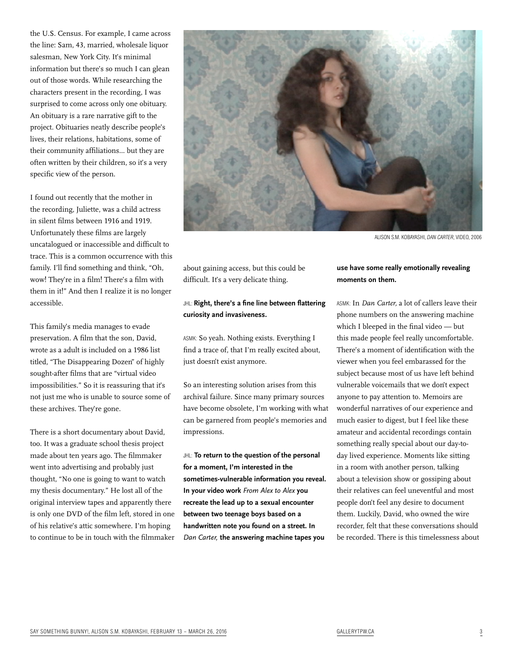the U.S. Census. For example, I came across the line: Sam, 43, married, wholesale liquor salesman, New York City. It's minimal information but there's so much I can glean out of those words. While researching the characters present in the recording, I was surprised to come across only one obituary. An obituary is a rare narrative gift to the project. Obituaries neatly describe people's lives, their relations, habitations, some of their community affiliations... but they are often written by their children, so it's a very specific view of the person.

I found out recently that the mother in the recording, Juliette, was a child actress in silent films between 1916 and 1919. Unfortunately these films are largely uncatalogued or inaccessible and difficult to trace. This is a common occurrence with this family. I'll find something and think, "Oh, wow! They're in a film! There's a film with them in it!" And then I realize it is no longer accessible.

This family's media manages to evade preservation. A film that the son, David, wrote as a adult is included on a 1986 list titled, "The Disappearing Dozen" of highly sought-after films that are "virtual video impossibilities." So it is reassuring that it's not just me who is unable to source some of these archives. They're gone.

There is a short documentary about David, too. It was a graduate school thesis project made about ten years ago. The filmmaker went into advertising and probably just thought, "No one is going to want to watch my thesis documentary." He lost all of the original interview tapes and apparently there is only one DVD of the film left, stored in one of his relative's attic somewhere. I'm hoping to continue to be in touch with the filmmaker



Alison S.M. Kobayashi, *Dan Carter*, video, 2006

about gaining access, but this could be difficult. It's a very delicate thing.

## JHL: **Right, there's a fine line between flattering curiosity and invasiveness.**

ASMK: So yeah. Nothing exists. Everything I find a trace of, that I'm really excited about, just doesn't exist anymore.

So an interesting solution arises from this archival failure. Since many primary sources have become obsolete, I'm working with what can be garnered from people's memories and impressions.

JHL: **To return to the question of the personal for a moment, I'm interested in the sometimes-vulnerable information you reveal. In your video work** *From Alex to Alex* **you recreate the lead up to a sexual encounter between two teenage boys based on a handwritten note you found on a street. In**  *Dan Carter,* **the answering machine tapes you** 

## **use have some really emotionally revealing moments on them.**

ASMK: In *Dan Carter,* a lot of callers leave their phone numbers on the answering machine which I bleeped in the final video — but this made people feel really uncomfortable. There's a moment of identification with the viewer when you feel embarassed for the subject because most of us have left behind vulnerable voicemails that we don't expect anyone to pay attention to. Memoirs are wonderful narratives of our experience and much easier to digest, but I feel like these amateur and accidental recordings contain something really special about our day-today lived experience. Moments like sitting in a room with another person, talking about a television show or gossiping about their relatives can feel uneventful and most people don't feel any desire to document them. Luckily, David, who owned the wire recorder, felt that these conversations should be recorded. There is this timelessness about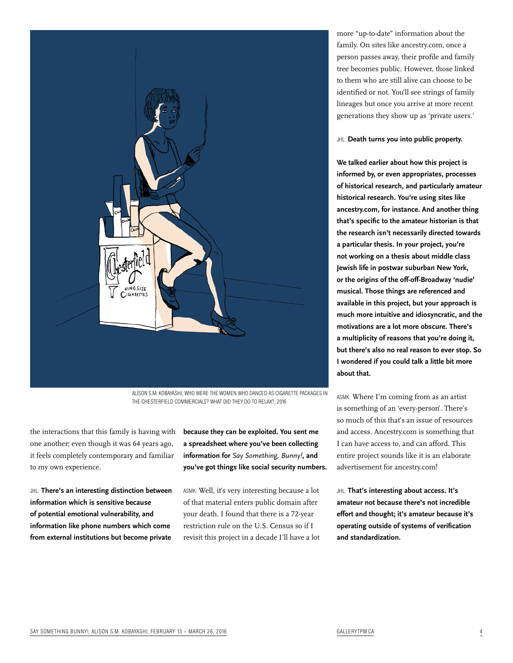

Alison S.M. Kobayashi, Who were the women who danced as cigarette packages in the Chesterfield commercials? What did they do to relax?, 2016

the interactions that this family is having with one another; even though it was 64 years ago, it feels completely contemporary and familiar to my own experience.

JHL: **There's an interesting distinction between information which is sensitive because of potential emotional vulnerability, and information like phone numbers which come from external institutions but become private** 

**because they can be exploited. You sent me a spreadsheet where you've been collecting information for** *Say Something, Bunny!***, and you've got things like social security numbers.**

ASMK: Well, it's very interesting because a lot of that material enters public domain after your death. I found that there is a 72-year restriction rule on the U.S. Census so if I revisit this project in a decade I'll have a lot more "up-to-date" information about the family. On sites like ancestry.com, once a person passes away, their profile and family tree becomes public. However, those linked to them who are still alive can choose to be identified or not. You'll see strings of family lineages but once you arrive at more recent generations they show up as 'private users.'

### JHL: **Death turns you into public property.**

**We talked earlier about how this project is informed by, or even appropriates, processes of historical research, and particularly amateur historical research. You're using sites like ancestry.com, for instance. And another thing that's specific to the amateur historian is that the research isn't necessarily directed towards a particular thesis. In your project, you're not working on a thesis about middle class Jewish life in postwar suburban New York, or the origins of the off-off-Broadway 'nudie' musical. Those things are referenced and available in this project, but your approach is much more intuitive and idiosyncratic, and the motivations are a lot more obscure. There's a multiplicity of reasons that you're doing it, but there's also no real reason to ever stop. So I wondered if you could talk a little bit more about that.** 

ASMK: Where I'm coming from as an artist is something of an 'every-person'. There's so much of this that's an issue of resources and access. Ancestry.com is something that I can have access to, and can afford. This entire project sounds like it is an elaborate advertisement for ancestry.com!

JHL: **That's interesting about access. It's amateur not because there's not incredible effort and thought; it's amateur because it's operating outside of systems of verification and standardization.**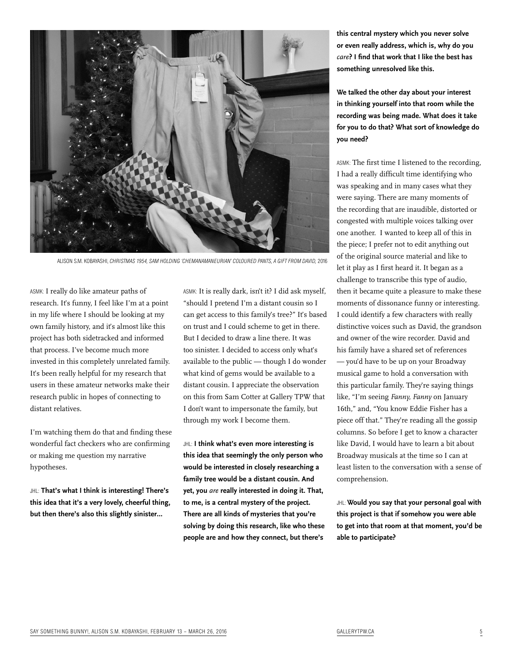

Alison S.M. Kobayashi, *Christmas 1954, Sam holding 'chemanamaneurian' coloured pants, a gift from David,* 2016

ASMK: I really do like amateur paths of research. It's funny, I feel like I'm at a point in my life where I should be looking at my own family history, and it's almost like this project has both sidetracked and informed that process. I've become much more invested in this completely unrelated family. It's been really helpful for my research that users in these amateur networks make their research public in hopes of connecting to distant relatives.

I'm watching them do that and finding these wonderful fact checkers who are confirming or making me question my narrative hypotheses.

JHL: **That's what I think is interesting! There's this idea that it's a very lovely, cheerful thing, but then there's also this slightly sinister…**

ASMK: It is really dark, isn't it? I did ask myself, "should I pretend I'm a distant cousin so I can get access to this family's tree?" It's based on trust and I could scheme to get in there. But I decided to draw a line there. It was too sinister. I decided to access only what's available to the public — though I do wonder what kind of gems would be available to a distant cousin. I appreciate the observation on this from Sam Cotter at Gallery TPW that I don't want to impersonate the family, but through my work I become them.

JHL: **I think what's even more interesting is this idea that seemingly the only person who would be interested in closely researching a family tree would be a distant cousin. And yet, you** *are* **really interested in doing it. That, to me, is a central mystery of the project. There are all kinds of mysteries that you're solving by doing this research, like who these people are and how they connect, but there's** 

**this central mystery which you never solve or even really address, which is, why do you**  *care***? I find that work that I like the best has something unresolved like this.**

**We talked the other day about your interest in thinking yourself into that room while the recording was being made. What does it take for you to do that? What sort of knowledge do you need?**

ASMK: The first time I listened to the recording, I had a really difficult time identifying who was speaking and in many cases what they were saying. There are many moments of the recording that are inaudible, distorted or congested with multiple voices talking over one another. I wanted to keep all of this in the piece; I prefer not to edit anything out of the original source material and like to let it play as I first heard it. It began as a challenge to transcribe this type of audio, then it became quite a pleasure to make these moments of dissonance funny or interesting. I could identify a few characters with really distinctive voices such as David, the grandson and owner of the wire recorder. David and his family have a shared set of references — you'd have to be up on your Broadway musical game to hold a conversation with this particular family. They're saying things like, "I'm seeing *Fanny, Fanny* on January 16th," and, "You know Eddie Fisher has a piece off that." They're reading all the gossip columns. So before I get to know a character like David, I would have to learn a bit about Broadway musicals at the time so I can at least listen to the conversation with a sense of comprehension.

JHL: **Would you say that your personal goal with this project is that if somehow you were able to get into that room at that moment, you'd be able to participate?**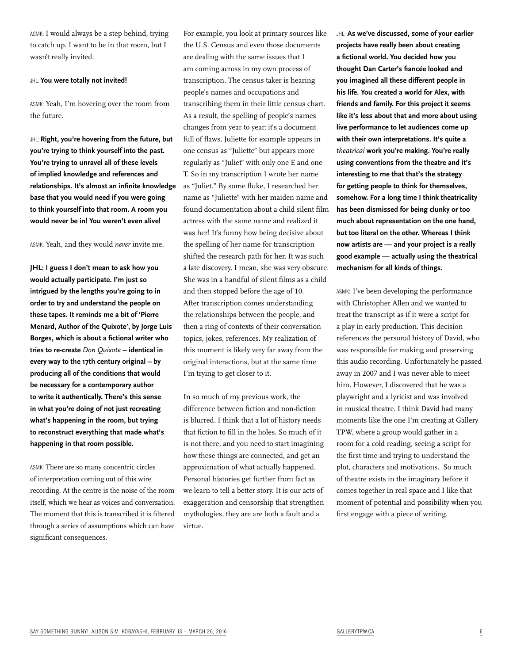ASMK: I would always be a step behind, trying to catch up. I want to be in that room, but I wasn't really invited.

## JHL: **You were totally not invited!**

ASMK: Yeah, I'm hovering over the room from the future.

JHL: **Right, you're hovering from the future, but you're trying to think yourself into the past. You're trying to unravel all of these levels of implied knowledge and references and relationships. It's almost an infinite knowledge base that you would need if you were going to think yourself into that room. A room you would never be in! You weren't even alive!** 

ASMK: Yeah, and they would *never* invite me.

**JHL: I guess I don't mean to ask how you would actually participate. I'm just so intrigued by the lengths you're going to in order to try and understand the people on these tapes. It reminds me a bit of 'Pierre Menard, Author of the Quixote', by Jorge Luis Borges, which is about a fictional writer who tries to re-create** *Don Quixote* **– identical in every way to the 17th century original – by producing all of the conditions that would be necessary for a contemporary author to write it authentically. There's this sense in what you're doing of not just recreating what's happening in the room, but trying to reconstruct everything that made what's happening in that room possible.** 

ASMK: There are so many concentric circles of interpretation coming out of this wire recording. At the centre is the noise of the room itself, which we hear as voices and conversation. The moment that this is transcribed it is filtered through a series of assumptions which can have significant consequences.

For example, you look at primary sources like the U.S. Census and even those documents are dealing with the same issues that I am coming across in my own process of transcription. The census taker is hearing people's names and occupations and transcribing them in their little census chart. As a result, the spelling of people's names changes from year to year; it's a document full of flaws. Juliette for example appears in one census as "Juliette" but appears more regularly as "Juliet" with only one E and one T. So in my transcription I wrote her name as "Juliet." By some fluke, I researched her name as "Juliette" with her maiden name and found documentation about a child silent film actress with the same name and realized it was her! It's funny how being decisive about the spelling of her name for transcription shifted the research path for her. It was such a late discovery. I mean, she was very obscure. She was in a handful of silent films as a child and then stopped before the age of 10. After transcription comes understanding the relationships between the people, and then a ring of contexts of their conversation topics, jokes, references. My realization of this moment is likely very far away from the original interactions, but at the same time I'm trying to get closer to it.

In so much of my previous work, the difference between fiction and non-fiction is blurred. I think that a lot of history needs that fiction to fill in the holes. So much of it is not there, and you need to start imagining how these things are connected, and get an approximation of what actually happened. Personal histories get further from fact as we learn to tell a better story. It is our acts of exaggeration and censorship that strengthen mythologies, they are are both a fault and a virtue.

JHL: **As we've discussed, some of your earlier projects have really been about creating a fictional world. You decided how you thought Dan Carter's fiancée looked and you imagined all these different people in his life. You created a world for Alex, with friends and family. For this project it seems like it's less about that and more about using live performance to let audiences come up with their own interpretations. It's quite a**  *theatrical* **work you're making. You're really using conventions from the theatre and it's interesting to me that that's the strategy for getting people to think for themselves, somehow. For a long time I think theatricality has been dismissed for being clunky or too much about representation on the one hand, but too literal on the other. Whereas I think now artists are — and your project is a really good example — actually using the theatrical mechanism for all kinds of things.**

ASMK: I've been developing the performance with Christopher Allen and we wanted to treat the transcript as if it were a script for a play in early production. This decision references the personal history of David, who was responsible for making and preserving this audio recording. Unfortunately he passed away in 2007 and I was never able to meet him. However, I discovered that he was a playwright and a lyricist and was involved in musical theatre. I think David had many moments like the one I'm creating at Gallery TPW, where a group would gather in a room for a cold reading, seeing a script for the first time and trying to understand the plot, characters and motivations. So much of theatre exists in the imaginary before it comes together in real space and I like that moment of potential and possibility when you first engage with a piece of writing.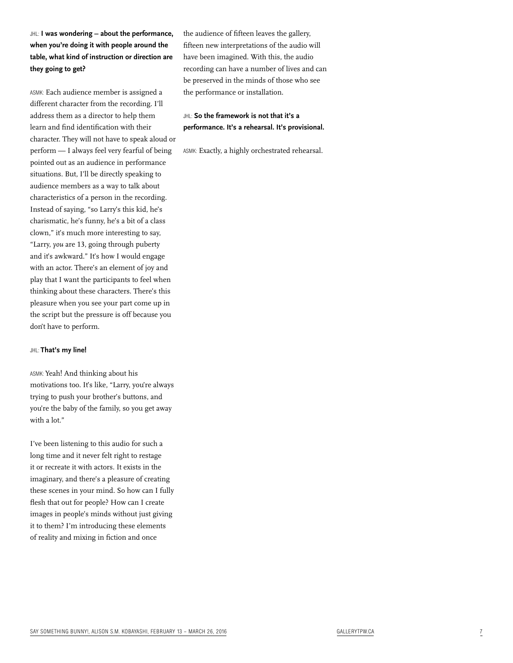JHL: **I was wondering – about the performance, when you're doing it with people around the table, what kind of instruction or direction are they going to get?**

ASMK: Each audience member is assigned a different character from the recording. I'll address them as a director to help them learn and find identification with their character. They will not have to speak aloud or perform — I always feel very fearful of being pointed out as an audience in performance situations. But, I'll be directly speaking to audience members as a way to talk about characteristics of a person in the recording. Instead of saying, "so Larry's this kid, he's charismatic, he's funny, he's a bit of a class clown," it's much more interesting to say, "Larry, *you* are 13, going through puberty and it's awkward." It's how I would engage with an actor. There's an element of joy and play that I want the participants to feel when thinking about these characters. There's this pleasure when you see your part come up in the script but the pressure is off because you don't have to perform.

### JHL: **That's my line!**

ASMK: Yeah! And thinking about his motivations too. It's like, "Larry, you're always trying to push your brother's buttons, and you're the baby of the family, so you get away with a lot."

I've been listening to this audio for such a long time and it never felt right to restage it or recreate it with actors. It exists in the imaginary, and there's a pleasure of creating these scenes in your mind. So how can I fully flesh that out for people? How can I create images in people's minds without just giving it to them? I'm introducing these elements of reality and mixing in fiction and once

the audience of fifteen leaves the gallery, fifteen new interpretations of the audio will have been imagined. With this, the audio recording can have a number of lives and can be preserved in the minds of those who see the performance or installation.

## JHL: **So the framework is not that it's a performance. It's a rehearsal. It's provisional.**

ASMK: Exactly, a highly orchestrated rehearsal.